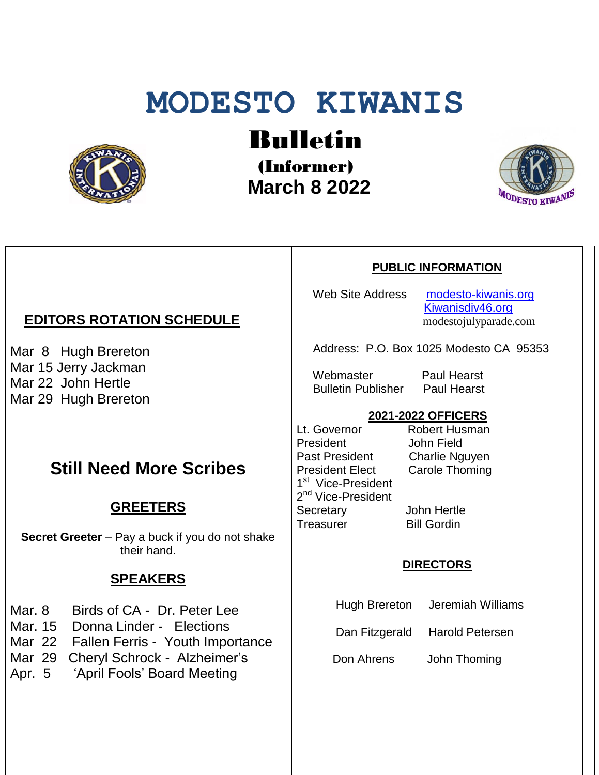# **MODESTO KIWANIS**



Bulletin

(Informer)  **March 8 2022**



## **EDITORS ROTATION SCHEDULE**

Mar 8 Hugh Brereton Mar 15 Jerry Jackman Mar 22 John Hertle Mar 29 Hugh Brereton

## **Still Need More Scribes**

### **GREETERS**

**Secret Greeter** – Pay a buck if you do not shake their hand.

#### **SPEAKERS**

- Mar. 8 Birds of CA Dr. Peter Lee
- Mar. 15 Donna Linder Elections
- Mar 22 Fallen Ferris Youth Importance
- Mar 29 Cheryl Schrock Alzheimer's<br>Apr. 5 'April Fools' Board Meeting
- 'April Fools' Board Meeting

#### **PUBLIC INFORMATION**

Web Site Address [modesto-kiwanis.org](http://modesto-kiwanis.org/) [Kiwanisdiv46.org](http://www.kiwanisdiv46.org/) modestojulyparade.com

Address: P.O. Box 1025 Modesto CA 95353

Webmaster Paul Hearst Bulletin Publisher Paul Hearst

#### **2021-2022 OFFICERS**

Lt. Governor Robert Husman President John Field<br>Past President Charlie Ng President Elect Carole Thoming 1<sup>st</sup> Vice-President 2<sup>nd</sup> Vice-President Secretary John Hertle Treasurer Bill Gordin

Charlie Nguyen

#### **DIRECTORS**

- Hugh Brereton Jeremiah Williams
- Dan Fitzgerald Harold Petersen

Don Ahrens John Thoming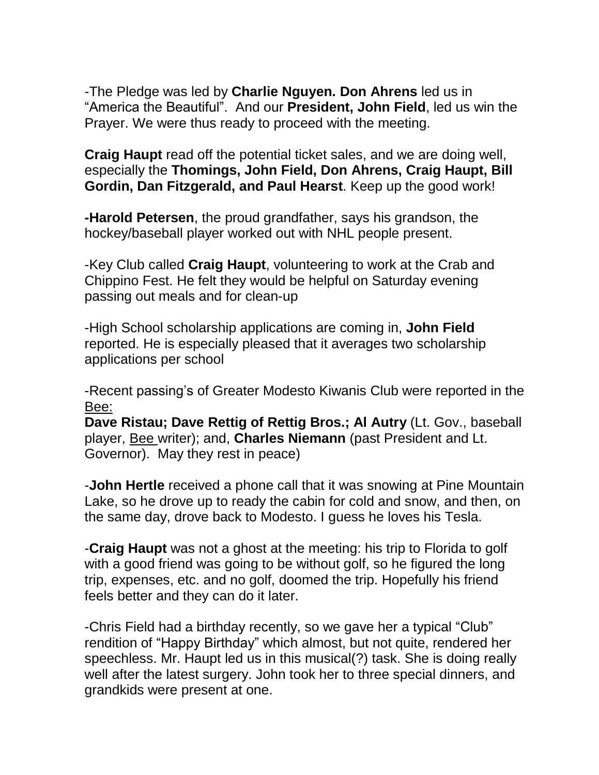-The Pledge was led by **Charlie Nguyen. Don Ahrens** led us in "America the Beautiful". And our **President, John Field**, led us win the Prayer. We were thus ready to proceed with the meeting.

**Craig Haupt** read off the potential ticket sales, and we are doing well, especially the **Thomings, John Field, Don Ahrens, Craig Haupt, Bill Gordin, Dan Fitzgerald, and Paul Hearst**. Keep up the good work!

**-Harold Petersen**, the proud grandfather, says his grandson, the hockey/baseball player worked out with NHL people present.

-Key Club called **Craig Haupt**, volunteering to work at the Crab and Chippino Fest. He felt they would be helpful on Saturday evening passing out meals and for clean-up

-High School scholarship applications are coming in, **John Field** reported. He is especially pleased that it averages two scholarship applications per school

-Recent passing's of Greater Modesto Kiwanis Club were reported in the Bee:

**Dave Ristau; Dave Rettig of Rettig Bros.; Al Autry** (Lt. Gov., baseball player, Bee writer); and, **Charles Niemann** (past President and Lt. Governor). May they rest in peace)

-**John Hertle** received a phone call that it was snowing at Pine Mountain Lake, so he drove up to ready the cabin for cold and snow, and then, on the same day, drove back to Modesto. I guess he loves his Tesla.

-**Craig Haupt** was not a ghost at the meeting: his trip to Florida to golf with a good friend was going to be without golf, so he figured the long trip, expenses, etc. and no golf, doomed the trip. Hopefully his friend feels better and they can do it later.

-Chris Field had a birthday recently, so we gave her a typical "Club" rendition of "Happy Birthday" which almost, but not quite, rendered her speechless. Mr. Haupt led us in this musical(?) task. She is doing really well after the latest surgery. John took her to three special dinners, and grandkids were present at one.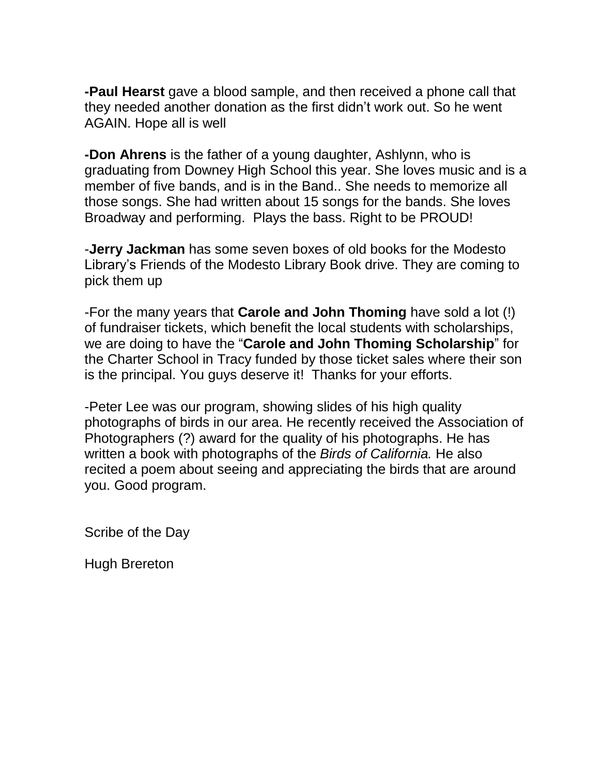**-Paul Hearst** gave a blood sample, and then received a phone call that they needed another donation as the first didn't work out. So he went AGAIN. Hope all is well

**-Don Ahrens** is the father of a young daughter, Ashlynn, who is graduating from Downey High School this year. She loves music and is a member of five bands, and is in the Band.. She needs to memorize all those songs. She had written about 15 songs for the bands. She loves Broadway and performing. Plays the bass. Right to be PROUD!

-**Jerry Jackman** has some seven boxes of old books for the Modesto Library's Friends of the Modesto Library Book drive. They are coming to pick them up

-For the many years that **Carole and John Thoming** have sold a lot (!) of fundraiser tickets, which benefit the local students with scholarships, we are doing to have the "**Carole and John Thoming Scholarship**" for the Charter School in Tracy funded by those ticket sales where their son is the principal. You guys deserve it! Thanks for your efforts.

-Peter Lee was our program, showing slides of his high quality photographs of birds in our area. He recently received the Association of Photographers (?) award for the quality of his photographs. He has written a book with photographs of the *Birds of California.* He also recited a poem about seeing and appreciating the birds that are around you. Good program.

Scribe of the Day

Hugh Brereton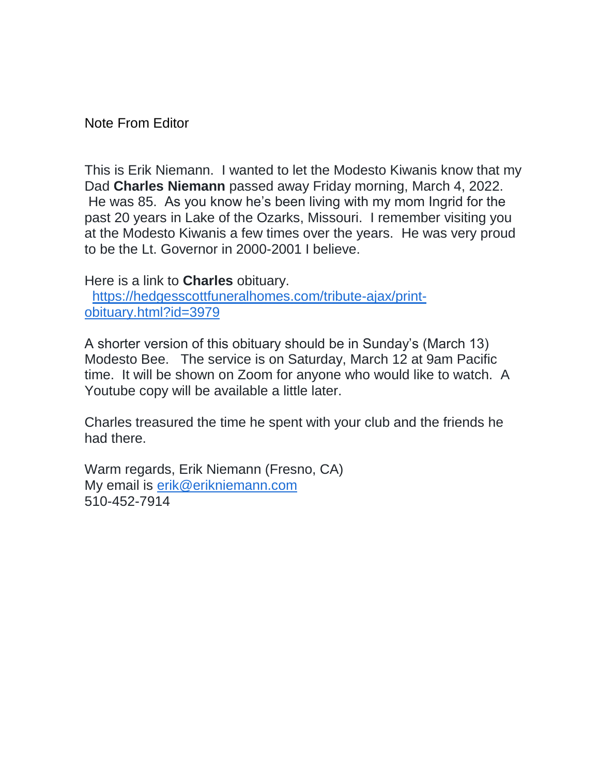Note From Editor

This is Erik Niemann. I wanted to let the Modesto Kiwanis know that my Dad **Charles Niemann** passed away Friday morning, March 4, 2022. He was 85. As you know he's been living with my mom Ingrid for the past 20 years in Lake of the Ozarks, Missouri. I remember visiting you at the Modesto Kiwanis a few times over the years. He was very proud to be the Lt. Governor in 2000-2001 I believe.

Here is a link to **Charles** obituary.

[https://hedgesscottfuneralhomes.com/tribute-ajax/print](https://hedgesscottfuneralhomes.com/tribute-ajax/print-obituary.html?id=3979)[obituary.html?id=3979](https://hedgesscottfuneralhomes.com/tribute-ajax/print-obituary.html?id=3979)

A shorter version of this obituary should be in Sunday's (March 13) Modesto Bee. The service is on Saturday, March 12 at 9am Pacific time. It will be shown on Zoom for anyone who would like to watch. A Youtube copy will be available a little later.

Charles treasured the time he spent with your club and the friends he had there.

Warm regards, Erik Niemann (Fresno, CA) My email is [erik@erikniemann.com](mailto:erik@erikniemann.com) 510-452-7914